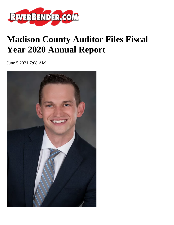

## **Madison County Auditor Files Fiscal Year 2020 Annual Report**

June 5 2021 7:08 AM